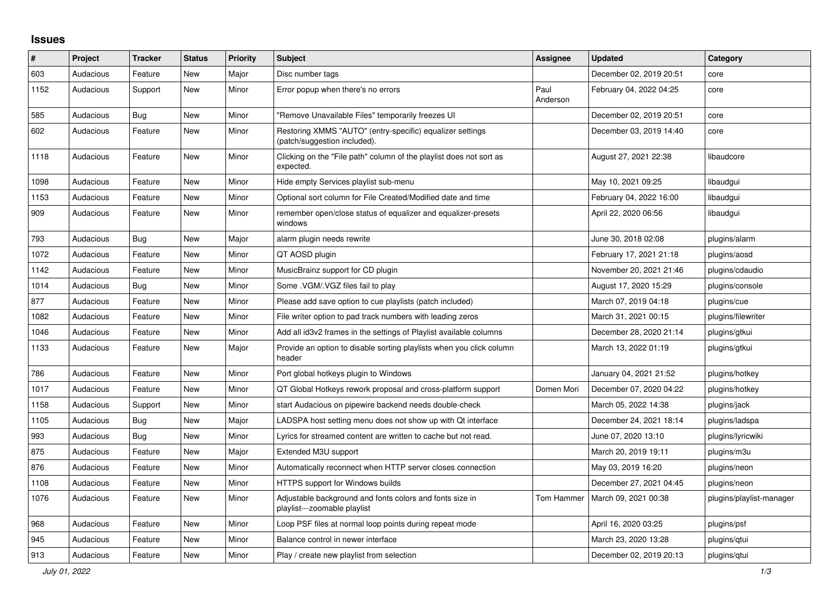## **Issues**

| ∦    | Project   | <b>Tracker</b> | <b>Status</b> | <b>Priority</b> | <b>Subject</b>                                                                            | <b>Assignee</b>  | <b>Updated</b>          | Category                 |
|------|-----------|----------------|---------------|-----------------|-------------------------------------------------------------------------------------------|------------------|-------------------------|--------------------------|
| 603  | Audacious | Feature        | <b>New</b>    | Major           | Disc number tags                                                                          |                  | December 02, 2019 20:51 | core                     |
| 1152 | Audacious | Support        | New           | Minor           | Error popup when there's no errors                                                        | Paul<br>Anderson | February 04, 2022 04:25 | core                     |
| 585  | Audacious | <b>Bug</b>     | <b>New</b>    | Minor           | "Remove Unavailable Files" temporarily freezes UI                                         |                  | December 02, 2019 20:51 | core                     |
| 602  | Audacious | Feature        | <b>New</b>    | Minor           | Restoring XMMS "AUTO" (entry-specific) equalizer settings<br>(patch/suggestion included). |                  | December 03, 2019 14:40 | core                     |
| 1118 | Audacious | Feature        | New           | Minor           | Clicking on the "File path" column of the playlist does not sort as<br>expected.          |                  | August 27, 2021 22:38   | libaudcore               |
| 1098 | Audacious | Feature        | New           | Minor           | Hide empty Services playlist sub-menu                                                     |                  | May 10, 2021 09:25      | libaudgui                |
| 1153 | Audacious | Feature        | New           | Minor           | Optional sort column for File Created/Modified date and time                              |                  | February 04, 2022 16:00 | libaudgui                |
| 909  | Audacious | Feature        | <b>New</b>    | Minor           | remember open/close status of equalizer and equalizer-presets<br>windows                  |                  | April 22, 2020 06:56    | libaudgui                |
| 793  | Audacious | Bug            | New           | Major           | alarm plugin needs rewrite                                                                |                  | June 30, 2018 02:08     | plugins/alarm            |
| 1072 | Audacious | Feature        | <b>New</b>    | Minor           | QT AOSD plugin                                                                            |                  | February 17, 2021 21:18 | plugins/aosd             |
| 1142 | Audacious | Feature        | <b>New</b>    | Minor           | MusicBrainz support for CD plugin                                                         |                  | November 20, 2021 21:46 | plugins/cdaudio          |
| 1014 | Audacious | Bug            | <b>New</b>    | Minor           | Some .VGM/.VGZ files fail to play                                                         |                  | August 17, 2020 15:29   | plugins/console          |
| 877  | Audacious | Feature        | <b>New</b>    | Minor           | Please add save option to cue playlists (patch included)                                  |                  | March 07, 2019 04:18    | plugins/cue              |
| 1082 | Audacious | Feature        | <b>New</b>    | Minor           | File writer option to pad track numbers with leading zeros                                |                  | March 31, 2021 00:15    | plugins/filewriter       |
| 1046 | Audacious | Feature        | New           | Minor           | Add all id3v2 frames in the settings of Playlist available columns                        |                  | December 28, 2020 21:14 | plugins/gtkui            |
| 1133 | Audacious | Feature        | New           | Major           | Provide an option to disable sorting playlists when you click column<br>header            |                  | March 13, 2022 01:19    | plugins/gtkui            |
| 786  | Audacious | Feature        | New           | Minor           | Port global hotkeys plugin to Windows                                                     |                  | January 04, 2021 21:52  | plugins/hotkey           |
| 1017 | Audacious | Feature        | <b>New</b>    | Minor           | QT Global Hotkeys rework proposal and cross-platform support                              | Domen Mori       | December 07, 2020 04:22 | plugins/hotkey           |
| 1158 | Audacious | Support        | <b>New</b>    | Minor           | start Audacious on pipewire backend needs double-check                                    |                  | March 05, 2022 14:38    | plugins/jack             |
| 1105 | Audacious | Bug            | <b>New</b>    | Major           | LADSPA host setting menu does not show up with Qt interface                               |                  | December 24, 2021 18:14 | plugins/ladspa           |
| 993  | Audacious | Bug            | <b>New</b>    | Minor           | Lyrics for streamed content are written to cache but not read.                            |                  | June 07, 2020 13:10     | plugins/lyricwiki        |
| 875  | Audacious | Feature        | <b>New</b>    | Major           | Extended M3U support                                                                      |                  | March 20, 2019 19:11    | plugins/m3u              |
| 876  | Audacious | Feature        | <b>New</b>    | Minor           | Automatically reconnect when HTTP server closes connection                                |                  | May 03, 2019 16:20      | plugins/neon             |
| 1108 | Audacious | Feature        | New           | Minor           | <b>HTTPS support for Windows builds</b>                                                   |                  | December 27, 2021 04:45 | plugins/neon             |
| 1076 | Audacious | Feature        | <b>New</b>    | Minor           | Adjustable background and fonts colors and fonts size in<br>playlist---zoomable playlist  | Tom Hammer       | March 09, 2021 00:38    | plugins/playlist-manager |
| 968  | Audacious | Feature        | New           | Minor           | Loop PSF files at normal loop points during repeat mode                                   |                  | April 16, 2020 03:25    | plugins/psf              |
| 945  | Audacious | Feature        | <b>New</b>    | Minor           | Balance control in newer interface                                                        |                  | March 23, 2020 13:28    | plugins/gtui             |
| 913  | Audacious | Feature        | <b>New</b>    | Minor           | Play / create new playlist from selection                                                 |                  | December 02, 2019 20:13 | plugins/gtui             |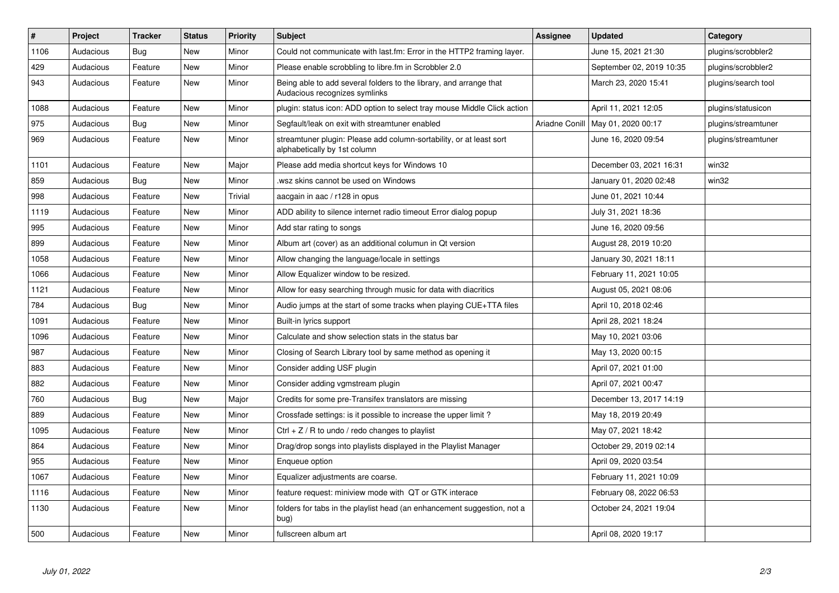| $\vert$ # | Project   | <b>Tracker</b> | <b>Status</b> | <b>Priority</b> | <b>Subject</b>                                                                                      | Assignee | <b>Updated</b>                      | Category            |
|-----------|-----------|----------------|---------------|-----------------|-----------------------------------------------------------------------------------------------------|----------|-------------------------------------|---------------------|
| 1106      | Audacious | <b>Bug</b>     | <b>New</b>    | Minor           | Could not communicate with last.fm: Error in the HTTP2 framing layer.                               |          | June 15, 2021 21:30                 | plugins/scrobbler2  |
| 429       | Audacious | Feature        | <b>New</b>    | Minor           | Please enable scrobbling to libre.fm in Scrobbler 2.0                                               |          | September 02, 2019 10:35            | plugins/scrobbler2  |
| 943       | Audacious | Feature        | <b>New</b>    | Minor           | Being able to add several folders to the library, and arrange that<br>Audacious recognizes symlinks |          | March 23, 2020 15:41                | plugins/search tool |
| 1088      | Audacious | Feature        | <b>New</b>    | Minor           | plugin: status icon: ADD option to select tray mouse Middle Click action                            |          | April 11, 2021 12:05                | plugins/statusicon  |
| 975       | Audacious | Bug            | <b>New</b>    | Minor           | Segfault/leak on exit with streamtuner enabled                                                      |          | Ariadne Conill   May 01, 2020 00:17 | plugins/streamtuner |
| 969       | Audacious | Feature        | <b>New</b>    | Minor           | streamtuner plugin: Please add column-sortability, or at least sort<br>alphabetically by 1st column |          | June 16, 2020 09:54                 | plugins/streamtuner |
| 1101      | Audacious | Feature        | <b>New</b>    | Major           | Please add media shortcut keys for Windows 10                                                       |          | December 03, 2021 16:31             | win32               |
| 859       | Audacious | Bug            | <b>New</b>    | Minor           | wsz skins cannot be used on Windows.                                                                |          | January 01, 2020 02:48              | win32               |
| 998       | Audacious | Feature        | <b>New</b>    | Trivial         | aacgain in aac / r128 in opus                                                                       |          | June 01, 2021 10:44                 |                     |
| 1119      | Audacious | Feature        | <b>New</b>    | Minor           | ADD ability to silence internet radio timeout Error dialog popup                                    |          | July 31, 2021 18:36                 |                     |
| 995       | Audacious | Feature        | <b>New</b>    | Minor           | Add star rating to songs                                                                            |          | June 16, 2020 09:56                 |                     |
| 899       | Audacious | Feature        | <b>New</b>    | Minor           | Album art (cover) as an additional columun in Qt version                                            |          | August 28, 2019 10:20               |                     |
| 1058      | Audacious | Feature        | <b>New</b>    | Minor           | Allow changing the language/locale in settings                                                      |          | January 30, 2021 18:11              |                     |
| 1066      | Audacious | Feature        | <b>New</b>    | Minor           | Allow Equalizer window to be resized.                                                               |          | February 11, 2021 10:05             |                     |
| 1121      | Audacious | Feature        | <b>New</b>    | Minor           | Allow for easy searching through music for data with diacritics                                     |          | August 05, 2021 08:06               |                     |
| 784       | Audacious | Bug            | <b>New</b>    | Minor           | Audio jumps at the start of some tracks when playing CUE+TTA files                                  |          | April 10, 2018 02:46                |                     |
| 1091      | Audacious | Feature        | <b>New</b>    | Minor           | Built-in lyrics support                                                                             |          | April 28, 2021 18:24                |                     |
| 1096      | Audacious | Feature        | <b>New</b>    | Minor           | Calculate and show selection stats in the status bar                                                |          | May 10, 2021 03:06                  |                     |
| 987       | Audacious | Feature        | <b>New</b>    | Minor           | Closing of Search Library tool by same method as opening it                                         |          | May 13, 2020 00:15                  |                     |
| 883       | Audacious | Feature        | <b>New</b>    | Minor           | Consider adding USF plugin                                                                          |          | April 07, 2021 01:00                |                     |
| 882       | Audacious | Feature        | <b>New</b>    | Minor           | Consider adding vgmstream plugin                                                                    |          | April 07, 2021 00:47                |                     |
| 760       | Audacious | Bug            | <b>New</b>    | Major           | Credits for some pre-Transifex translators are missing                                              |          | December 13, 2017 14:19             |                     |
| 889       | Audacious | Feature        | <b>New</b>    | Minor           | Crossfade settings: is it possible to increase the upper limit?                                     |          | May 18, 2019 20:49                  |                     |
| 1095      | Audacious | Feature        | <b>New</b>    | Minor           | Ctrl $+$ Z / R to undo / redo changes to playlist                                                   |          | May 07, 2021 18:42                  |                     |
| 864       | Audacious | Feature        | <b>New</b>    | Minor           | Drag/drop songs into playlists displayed in the Playlist Manager                                    |          | October 29, 2019 02:14              |                     |
| 955       | Audacious | Feature        | <b>New</b>    | Minor           | Enqueue option                                                                                      |          | April 09, 2020 03:54                |                     |
| 1067      | Audacious | Feature        | <b>New</b>    | Minor           | Equalizer adjustments are coarse.                                                                   |          | February 11, 2021 10:09             |                     |
| 1116      | Audacious | Feature        | <b>New</b>    | Minor           | feature request: miniview mode with QT or GTK interace                                              |          | February 08, 2022 06:53             |                     |
| 1130      | Audacious | Feature        | <b>New</b>    | Minor           | folders for tabs in the playlist head (an enhancement suggestion, not a<br>bug)                     |          | October 24, 2021 19:04              |                     |
| 500       | Audacious | Feature        | <b>New</b>    | Minor           | fullscreen album art                                                                                |          | April 08, 2020 19:17                |                     |